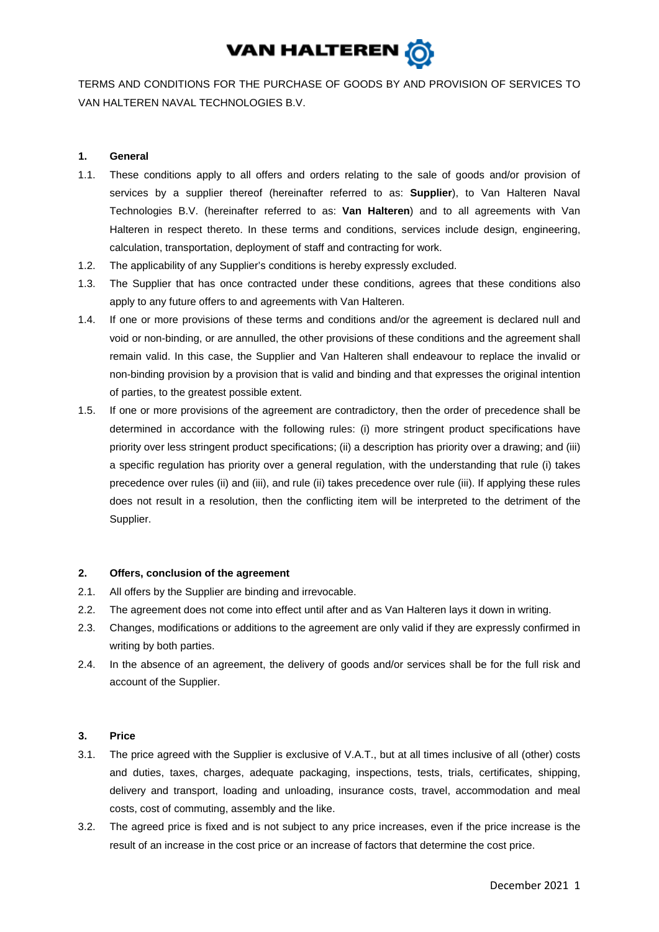

TERMS AND CONDITIONS FOR THE PURCHASE OF GOODS BY AND PROVISION OF SERVICES TO VAN HALTEREN NAVAL TECHNOLOGIES B.V.

# **1. General**

- 1.1. These conditions apply to all offers and orders relating to the sale of goods and/or provision of services by a supplier thereof (hereinafter referred to as: **Supplier**), to Van Halteren Naval Technologies B.V. (hereinafter referred to as: **Van Halteren**) and to all agreements with Van Halteren in respect thereto. In these terms and conditions, services include design, engineering, calculation, transportation, deployment of staff and contracting for work.
- 1.2. The applicability of any Supplier's conditions is hereby expressly excluded.
- 1.3. The Supplier that has once contracted under these conditions, agrees that these conditions also apply to any future offers to and agreements with Van Halteren.
- 1.4. If one or more provisions of these terms and conditions and/or the agreement is declared null and void or non-binding, or are annulled, the other provisions of these conditions and the agreement shall remain valid. In this case, the Supplier and Van Halteren shall endeavour to replace the invalid or non-binding provision by a provision that is valid and binding and that expresses the original intention of parties, to the greatest possible extent.
- 1.5. If one or more provisions of the agreement are contradictory, then the order of precedence shall be determined in accordance with the following rules: (i) more stringent product specifications have priority over less stringent product specifications; (ii) a description has priority over a drawing; and (iii) a specific regulation has priority over a general regulation, with the understanding that rule (i) takes precedence over rules (ii) and (iii), and rule (ii) takes precedence over rule (iii). If applying these rules does not result in a resolution, then the conflicting item will be interpreted to the detriment of the Supplier.

### **2. Offers, conclusion of the agreement**

- 2.1. All offers by the Supplier are binding and irrevocable.
- 2.2. The agreement does not come into effect until after and as Van Halteren lays it down in writing.
- 2.3. Changes, modifications or additions to the agreement are only valid if they are expressly confirmed in writing by both parties.
- 2.4. In the absence of an agreement, the delivery of goods and/or services shall be for the full risk and account of the Supplier.

### **3. Price**

- 3.1. The price agreed with the Supplier is exclusive of V.A.T., but at all times inclusive of all (other) costs and duties, taxes, charges, adequate packaging, inspections, tests, trials, certificates, shipping, delivery and transport, loading and unloading, insurance costs, travel, accommodation and meal costs, cost of commuting, assembly and the like.
- 3.2. The agreed price is fixed and is not subject to any price increases, even if the price increase is the result of an increase in the cost price or an increase of factors that determine the cost price.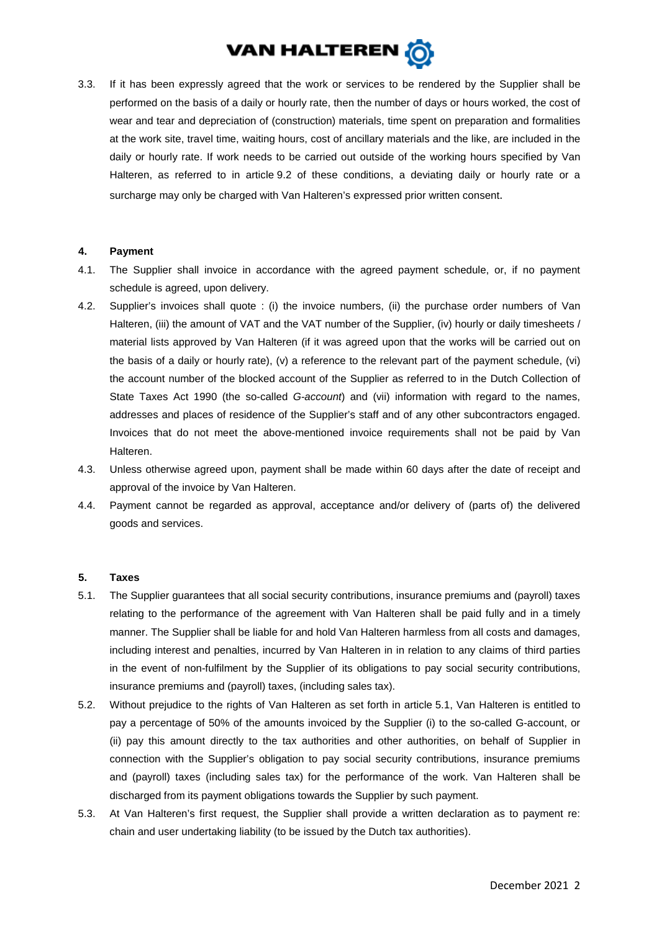

3.3. If it has been expressly agreed that the work or services to be rendered by the Supplier shall be performed on the basis of a daily or hourly rate, then the number of days or hours worked, the cost of wear and tear and depreciation of (construction) materials, time spent on preparation and formalities at the work site, travel time, waiting hours, cost of ancillary materials and the like, are included in the daily or hourly rate. If work needs to be carried out outside of the working hours specified by Van Halteren, as referred to in article [9.2](#page-3-0) of these conditions, a deviating daily or hourly rate or a surcharge may only be charged with Van Halteren's expressed prior written consent.

#### **4. Payment**

- 4.1. The Supplier shall invoice in accordance with the agreed payment schedule, or, if no payment schedule is agreed, upon delivery.
- 4.2. Supplier's invoices shall quote : (i) the invoice numbers, (ii) the purchase order numbers of Van Halteren, (iii) the amount of VAT and the VAT number of the Supplier, (iv) hourly or daily timesheets / material lists approved by Van Halteren (if it was agreed upon that the works will be carried out on the basis of a daily or hourly rate), (v) a reference to the relevant part of the payment schedule, (vi) the account number of the blocked account of the Supplier as referred to in the Dutch Collection of State Taxes Act 1990 (the so-called *G-account*) and (vii) information with regard to the names, addresses and places of residence of the Supplier's staff and of any other subcontractors engaged. Invoices that do not meet the above-mentioned invoice requirements shall not be paid by Van Halteren.
- 4.3. Unless otherwise agreed upon, payment shall be made within 60 days after the date of receipt and approval of the invoice by Van Halteren.
- 4.4. Payment cannot be regarded as approval, acceptance and/or delivery of (parts of) the delivered goods and services.

#### **5. Taxes**

- <span id="page-1-0"></span>5.1. The Supplier guarantees that all social security contributions, insurance premiums and (payroll) taxes relating to the performance of the agreement with Van Halteren shall be paid fully and in a timely manner. The Supplier shall be liable for and hold Van Halteren harmless from all costs and damages, including interest and penalties, incurred by Van Halteren in in relation to any claims of third parties in the event of non-fulfilment by the Supplier of its obligations to pay social security contributions, insurance premiums and (payroll) taxes, (including sales tax).
- 5.2. Without prejudice to the rights of Van Halteren as set forth in article [5.1,](#page-1-0) Van Halteren is entitled to pay a percentage of 50% of the amounts invoiced by the Supplier (i) to the so-called G-account, or (ii) pay this amount directly to the tax authorities and other authorities, on behalf of Supplier in connection with the Supplier's obligation to pay social security contributions, insurance premiums and (payroll) taxes (including sales tax) for the performance of the work. Van Halteren shall be discharged from its payment obligations towards the Supplier by such payment.
- 5.3. At Van Halteren's first request, the Supplier shall provide a written declaration as to payment re: chain and user undertaking liability (to be issued by the Dutch tax authorities).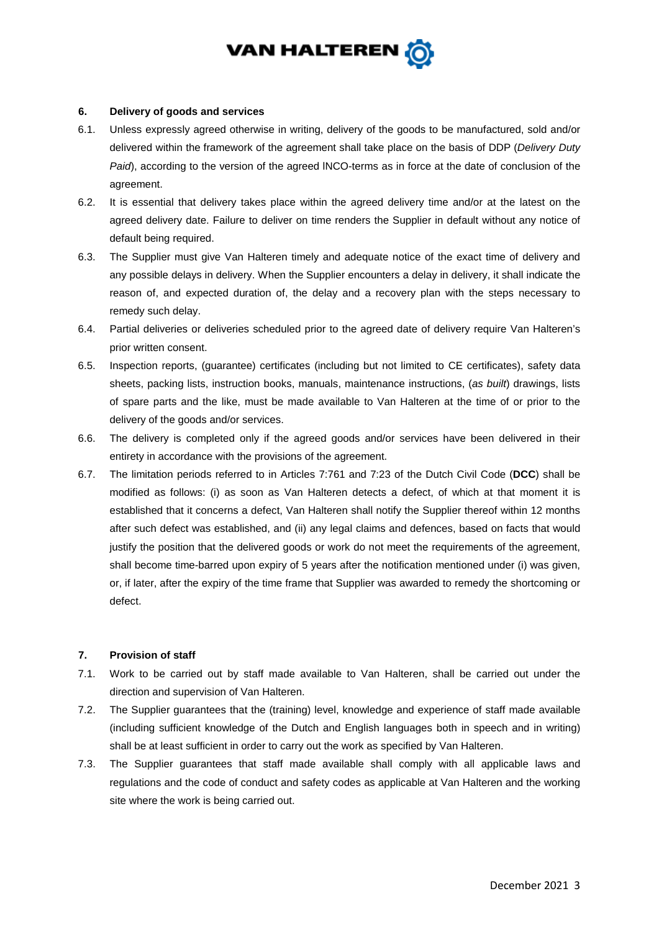

#### **6. Delivery of goods and services**

- 6.1. Unless expressly agreed otherwise in writing, delivery of the goods to be manufactured, sold and/or delivered within the framework of the agreement shall take place on the basis of DDP (*Delivery Duty Paid*), according to the version of the agreed lNCO-terms as in force at the date of conclusion of the agreement.
- 6.2. It is essential that delivery takes place within the agreed delivery time and/or at the latest on the agreed delivery date. Failure to deliver on time renders the Supplier in default without any notice of default being required.
- 6.3. The Supplier must give Van Halteren timely and adequate notice of the exact time of delivery and any possible delays in delivery. When the Supplier encounters a delay in delivery, it shall indicate the reason of, and expected duration of, the delay and a recovery plan with the steps necessary to remedy such delay.
- 6.4. Partial deliveries or deliveries scheduled prior to the agreed date of delivery require Van Halteren's prior written consent.
- 6.5. Inspection reports, (guarantee) certificates (including but not limited to CE certificates), safety data sheets, packing lists, instruction books, manuals, maintenance instructions, (*as built*) drawings, lists of spare parts and the like, must be made available to Van Halteren at the time of or prior to the delivery of the goods and/or services.
- <span id="page-2-0"></span>6.6. The delivery is completed only if the agreed goods and/or services have been delivered in their entirety in accordance with the provisions of the agreement.
- 6.7. The limitation periods referred to in Articles 7:761 and 7:23 of the Dutch Civil Code (**DCC**) shall be modified as follows: (i) as soon as Van Halteren detects a defect, of which at that moment it is established that it concerns a defect, Van Halteren shall notify the Supplier thereof within 12 months after such defect was established, and (ii) any legal claims and defences, based on facts that would justify the position that the delivered goods or work do not meet the requirements of the agreement, shall become time-barred upon expiry of 5 years after the notification mentioned under (i) was given, or, if later, after the expiry of the time frame that Supplier was awarded to remedy the shortcoming or defect.

### **7. Provision of staff**

- 7.1. Work to be carried out by staff made available to Van Halteren, shall be carried out under the direction and supervision of Van Halteren.
- 7.2. The Supplier guarantees that the (training) level, knowledge and experience of staff made available (including sufficient knowledge of the Dutch and English languages both in speech and in writing) shall be at least sufficient in order to carry out the work as specified by Van Halteren.
- 7.3. The Supplier guarantees that staff made available shall comply with all applicable laws and regulations and the code of conduct and safety codes as applicable at Van Halteren and the working site where the work is being carried out.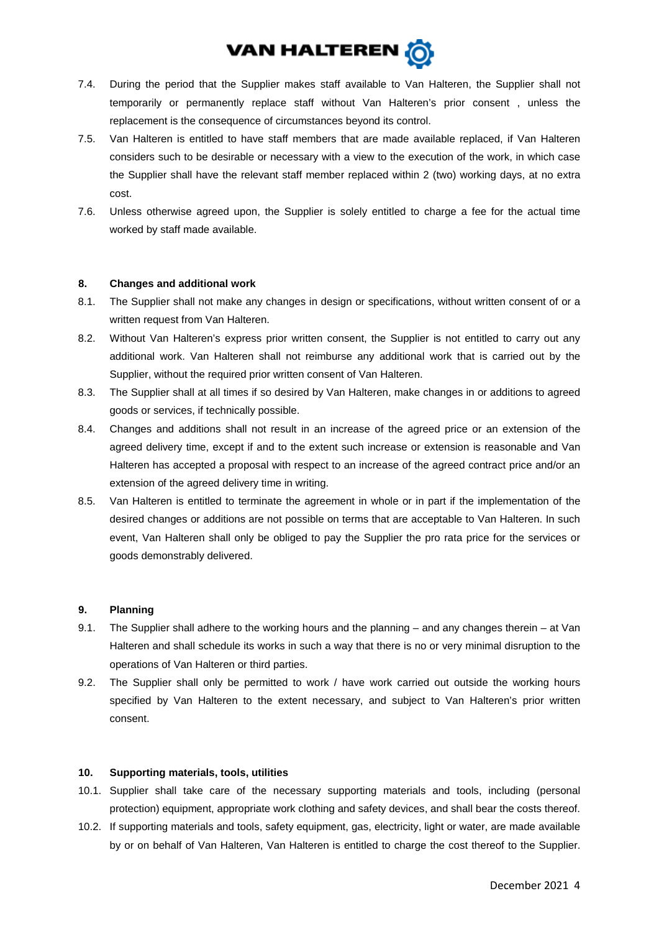

- 7.4. During the period that the Supplier makes staff available to Van Halteren, the Supplier shall not temporarily or permanently replace staff without Van Halteren's prior consent , unless the replacement is the consequence of circumstances beyond its control.
- 7.5. Van Halteren is entitled to have staff members that are made available replaced, if Van Halteren considers such to be desirable or necessary with a view to the execution of the work, in which case the Supplier shall have the relevant staff member replaced within 2 (two) working days, at no extra cost.
- 7.6. Unless otherwise agreed upon, the Supplier is solely entitled to charge a fee for the actual time worked by staff made available.

### **8. Changes and additional work**

- 8.1. The Supplier shall not make any changes in design or specifications, without written consent of or a written request from Van Halteren.
- 8.2. Without Van Halteren's express prior written consent, the Supplier is not entitled to carry out any additional work. Van Halteren shall not reimburse any additional work that is carried out by the Supplier, without the required prior written consent of Van Halteren.
- 8.3. The Supplier shall at all times if so desired by Van Halteren, make changes in or additions to agreed goods or services, if technically possible.
- 8.4. Changes and additions shall not result in an increase of the agreed price or an extension of the agreed delivery time, except if and to the extent such increase or extension is reasonable and Van Halteren has accepted a proposal with respect to an increase of the agreed contract price and/or an extension of the agreed delivery time in writing.
- 8.5. Van Halteren is entitled to terminate the agreement in whole or in part if the implementation of the desired changes or additions are not possible on terms that are acceptable to Van Halteren. In such event, Van Halteren shall only be obliged to pay the Supplier the pro rata price for the services or goods demonstrably delivered.

# **9. Planning**

- 9.1. The Supplier shall adhere to the working hours and the planning and any changes therein at Van Halteren and shall schedule its works in such a way that there is no or very minimal disruption to the operations of Van Halteren or third parties.
- <span id="page-3-0"></span>9.2. The Supplier shall only be permitted to work / have work carried out outside the working hours specified by Van Halteren to the extent necessary, and subject to Van Halteren's prior written consent.

### **10. Supporting materials, tools, utilities**

- 10.1. Supplier shall take care of the necessary supporting materials and tools, including (personal protection) equipment, appropriate work clothing and safety devices, and shall bear the costs thereof.
- 10.2. If supporting materials and tools, safety equipment, gas, electricity, light or water, are made available by or on behalf of Van Halteren, Van Halteren is entitled to charge the cost thereof to the Supplier.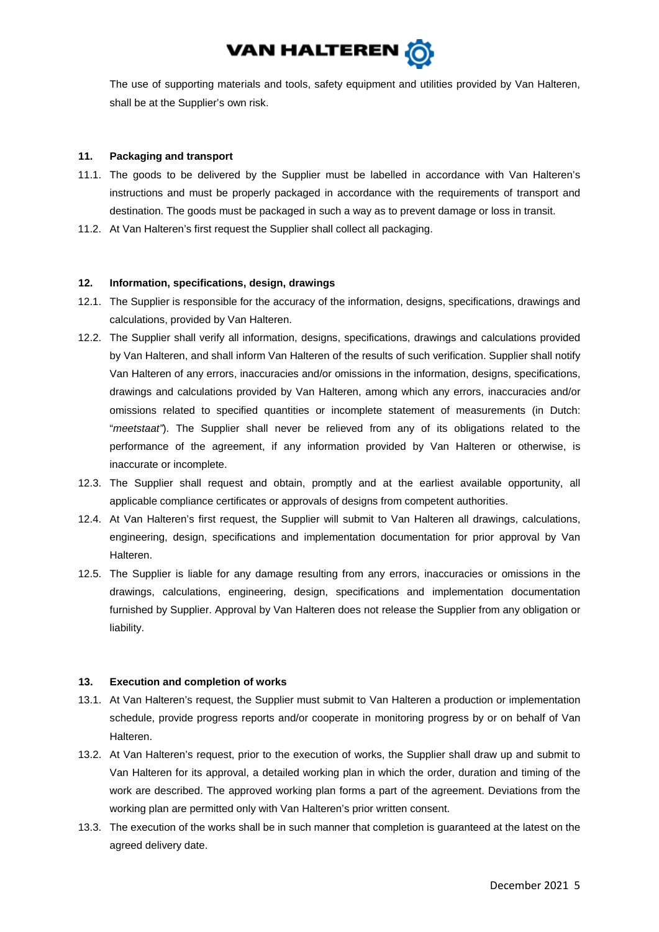

The use of supporting materials and tools, safety equipment and utilities provided by Van Halteren, shall be at the Supplier's own risk.

## **11. Packaging and transport**

- 11.1. The goods to be delivered by the Supplier must be labelled in accordance with Van Halteren's instructions and must be properly packaged in accordance with the requirements of transport and destination. The goods must be packaged in such a way as to prevent damage or loss in transit.
- 11.2. At Van Halteren's first request the Supplier shall collect all packaging.

# **12. Information, specifications, design, drawings**

- 12.1. The Supplier is responsible for the accuracy of the information, designs, specifications, drawings and calculations, provided by Van Halteren.
- 12.2. The Supplier shall verify all information, designs, specifications, drawings and calculations provided by Van Halteren, and shall inform Van Halteren of the results of such verification. Supplier shall notify Van Halteren of any errors, inaccuracies and/or omissions in the information, designs, specifications, drawings and calculations provided by Van Halteren, among which any errors, inaccuracies and/or omissions related to specified quantities or incomplete statement of measurements (in Dutch: "*meetstaat"*). The Supplier shall never be relieved from any of its obligations related to the performance of the agreement, if any information provided by Van Halteren or otherwise, is inaccurate or incomplete.
- 12.3. The Supplier shall request and obtain, promptly and at the earliest available opportunity, all applicable compliance certificates or approvals of designs from competent authorities.
- 12.4. At Van Halteren's first request, the Supplier will submit to Van Halteren all drawings, calculations, engineering, design, specifications and implementation documentation for prior approval by Van Halteren.
- 12.5. The Supplier is liable for any damage resulting from any errors, inaccuracies or omissions in the drawings, calculations, engineering, design, specifications and implementation documentation furnished by Supplier. Approval by Van Halteren does not release the Supplier from any obligation or liability.

### **13. Execution and completion of works**

- 13.1. At Van Halteren's request, the Supplier must submit to Van Halteren a production or implementation schedule, provide progress reports and/or cooperate in monitoring progress by or on behalf of Van Halteren.
- 13.2. At Van Halteren's request, prior to the execution of works, the Supplier shall draw up and submit to Van Halteren for its approval, a detailed working plan in which the order, duration and timing of the work are described. The approved working plan forms a part of the agreement. Deviations from the working plan are permitted only with Van Halteren's prior written consent.
- 13.3. The execution of the works shall be in such manner that completion is guaranteed at the latest on the agreed delivery date.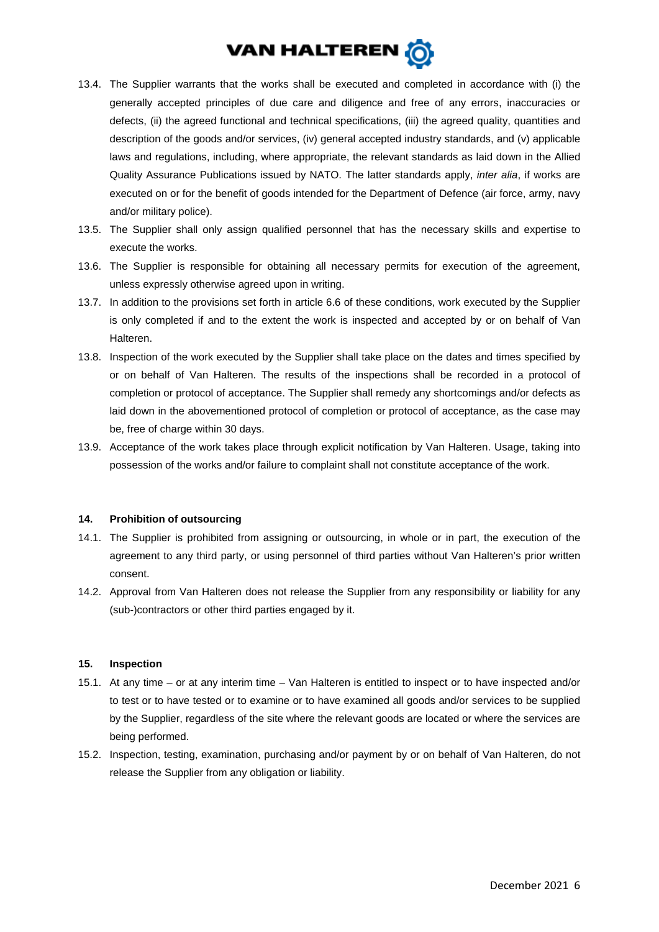

- 13.4. The Supplier warrants that the works shall be executed and completed in accordance with (i) the generally accepted principles of due care and diligence and free of any errors, inaccuracies or defects, (ii) the agreed functional and technical specifications, (iii) the agreed quality, quantities and description of the goods and/or services, (iv) general accepted industry standards, and (v) applicable laws and regulations, including, where appropriate, the relevant standards as laid down in the Allied Quality Assurance Publications issued by NATO. The latter standards apply, *inter alia*, if works are executed on or for the benefit of goods intended for the Department of Defence (air force, army, navy and/or military police).
- 13.5. The Supplier shall only assign qualified personnel that has the necessary skills and expertise to execute the works.
- 13.6. The Supplier is responsible for obtaining all necessary permits for execution of the agreement, unless expressly otherwise agreed upon in writing.
- <span id="page-5-0"></span>13.7. In addition to the provisions set forth in article [6.6](#page-2-0) of these conditions, work executed by the Supplier is only completed if and to the extent the work is inspected and accepted by or on behalf of Van Halteren.
- 13.8. Inspection of the work executed by the Supplier shall take place on the dates and times specified by or on behalf of Van Halteren. The results of the inspections shall be recorded in a protocol of completion or protocol of acceptance. The Supplier shall remedy any shortcomings and/or defects as laid down in the abovementioned protocol of completion or protocol of acceptance, as the case may be, free of charge within 30 days.
- 13.9. Acceptance of the work takes place through explicit notification by Van Halteren. Usage, taking into possession of the works and/or failure to complaint shall not constitute acceptance of the work.

### **14. Prohibition of outsourcing**

- 14.1. The Supplier is prohibited from assigning or outsourcing, in whole or in part, the execution of the agreement to any third party, or using personnel of third parties without Van Halteren's prior written consent.
- 14.2. Approval from Van Halteren does not release the Supplier from any responsibility or liability for any (sub-)contractors or other third parties engaged by it.

### **15. Inspection**

- 15.1. At any time or at any interim time Van Halteren is entitled to inspect or to have inspected and/or to test or to have tested or to examine or to have examined all goods and/or services to be supplied by the Supplier, regardless of the site where the relevant goods are located or where the services are being performed.
- 15.2. Inspection, testing, examination, purchasing and/or payment by or on behalf of Van Halteren, do not release the Supplier from any obligation or liability.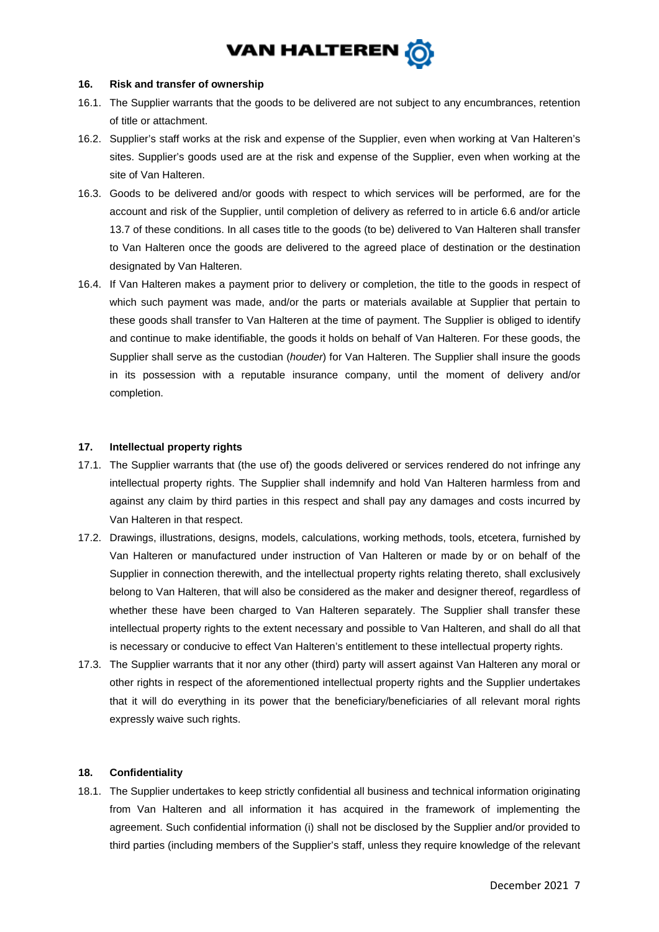

#### **16. Risk and transfer of ownership**

- 16.1. The Supplier warrants that the goods to be delivered are not subject to any encumbrances, retention of title or attachment.
- 16.2. Supplier's staff works at the risk and expense of the Supplier, even when working at Van Halteren's sites. Supplier's goods used are at the risk and expense of the Supplier, even when working at the site of Van Halteren.
- 16.3. Goods to be delivered and/or goods with respect to which services will be performed, are for the account and risk of the Supplier, until completion of delivery as referred to in article [6.6](#page-2-0) and/or article [13.7](#page-5-0) of these conditions. In all cases title to the goods (to be) delivered to Van Halteren shall transfer to Van Halteren once the goods are delivered to the agreed place of destination or the destination designated by Van Halteren.
- 16.4. If Van Halteren makes a payment prior to delivery or completion, the title to the goods in respect of which such payment was made, and/or the parts or materials available at Supplier that pertain to these goods shall transfer to Van Halteren at the time of payment. The Supplier is obliged to identify and continue to make identifiable, the goods it holds on behalf of Van Halteren. For these goods, the Supplier shall serve as the custodian (*houder*) for Van Halteren. The Supplier shall insure the goods in its possession with a reputable insurance company, until the moment of delivery and/or completion.

### **17. Intellectual property rights**

- 17.1. The Supplier warrants that (the use of) the goods delivered or services rendered do not infringe any intellectual property rights. The Supplier shall indemnify and hold Van Halteren harmless from and against any claim by third parties in this respect and shall pay any damages and costs incurred by Van Halteren in that respect.
- 17.2. Drawings, illustrations, designs, models, calculations, working methods, tools, etcetera, furnished by Van Halteren or manufactured under instruction of Van Halteren or made by or on behalf of the Supplier in connection therewith, and the intellectual property rights relating thereto, shall exclusively belong to Van Halteren, that will also be considered as the maker and designer thereof, regardless of whether these have been charged to Van Halteren separately. The Supplier shall transfer these intellectual property rights to the extent necessary and possible to Van Halteren, and shall do all that is necessary or conducive to effect Van Halteren's entitlement to these intellectual property rights.
- 17.3. The Supplier warrants that it nor any other (third) party will assert against Van Halteren any moral or other rights in respect of the aforementioned intellectual property rights and the Supplier undertakes that it will do everything in its power that the beneficiary/beneficiaries of all relevant moral rights expressly waive such rights.

### **18. Confidentiality**

18.1. The Supplier undertakes to keep strictly confidential all business and technical information originating from Van Halteren and all information it has acquired in the framework of implementing the agreement. Such confidential information (i) shall not be disclosed by the Supplier and/or provided to third parties (including members of the Supplier's staff, unless they require knowledge of the relevant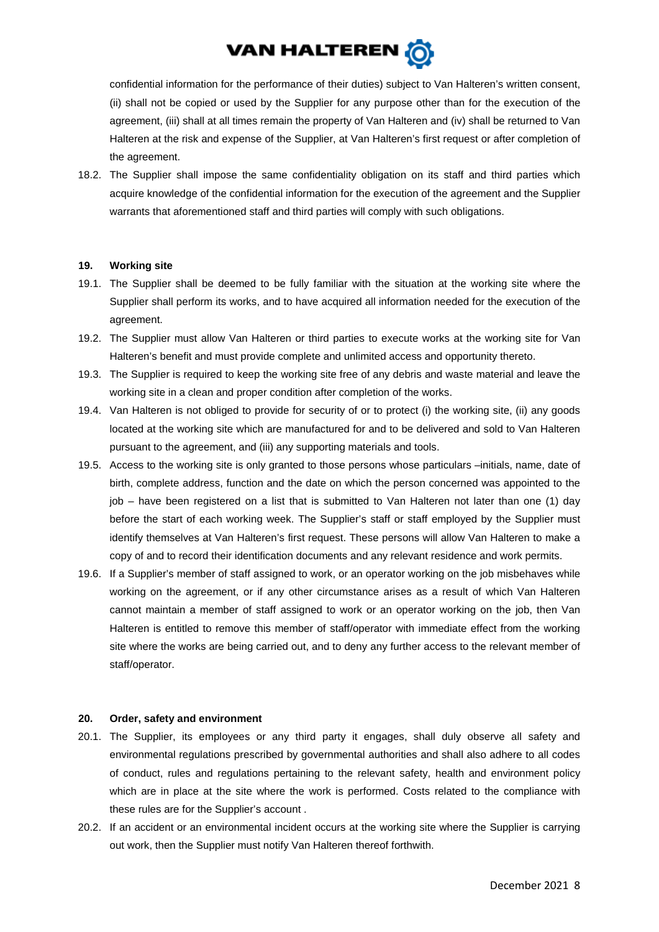

confidential information for the performance of their duties) subject to Van Halteren's written consent, (ii) shall not be copied or used by the Supplier for any purpose other than for the execution of the agreement, (iii) shall at all times remain the property of Van Halteren and (iv) shall be returned to Van Halteren at the risk and expense of the Supplier, at Van Halteren's first request or after completion of the agreement.

18.2. The Supplier shall impose the same confidentiality obligation on its staff and third parties which acquire knowledge of the confidential information for the execution of the agreement and the Supplier warrants that aforementioned staff and third parties will comply with such obligations.

### **19. Working site**

- 19.1. The Supplier shall be deemed to be fully familiar with the situation at the working site where the Supplier shall perform its works, and to have acquired all information needed for the execution of the agreement.
- 19.2. The Supplier must allow Van Halteren or third parties to execute works at the working site for Van Halteren's benefit and must provide complete and unlimited access and opportunity thereto.
- 19.3. The Supplier is required to keep the working site free of any debris and waste material and leave the working site in a clean and proper condition after completion of the works.
- 19.4. Van Halteren is not obliged to provide for security of or to protect (i) the working site, (ii) any goods located at the working site which are manufactured for and to be delivered and sold to Van Halteren pursuant to the agreement, and (iii) any supporting materials and tools.
- 19.5. Access to the working site is only granted to those persons whose particulars –initials, name, date of birth, complete address, function and the date on which the person concerned was appointed to the job – have been registered on a list that is submitted to Van Halteren not later than one (1) day before the start of each working week. The Supplier's staff or staff employed by the Supplier must identify themselves at Van Halteren's first request. These persons will allow Van Halteren to make a copy of and to record their identification documents and any relevant residence and work permits.
- 19.6. If a Supplier's member of staff assigned to work, or an operator working on the job misbehaves while working on the agreement, or if any other circumstance arises as a result of which Van Halteren cannot maintain a member of staff assigned to work or an operator working on the job, then Van Halteren is entitled to remove this member of staff/operator with immediate effect from the working site where the works are being carried out, and to deny any further access to the relevant member of staff/operator.

#### **20. Order, safety and environment**

- 20.1. The Supplier, its employees or any third party it engages, shall duly observe all safety and environmental regulations prescribed by governmental authorities and shall also adhere to all codes of conduct, rules and regulations pertaining to the relevant safety, health and environment policy which are in place at the site where the work is performed. Costs related to the compliance with these rules are for the Supplier's account .
- 20.2. If an accident or an environmental incident occurs at the working site where the Supplier is carrying out work, then the Supplier must notify Van Halteren thereof forthwith.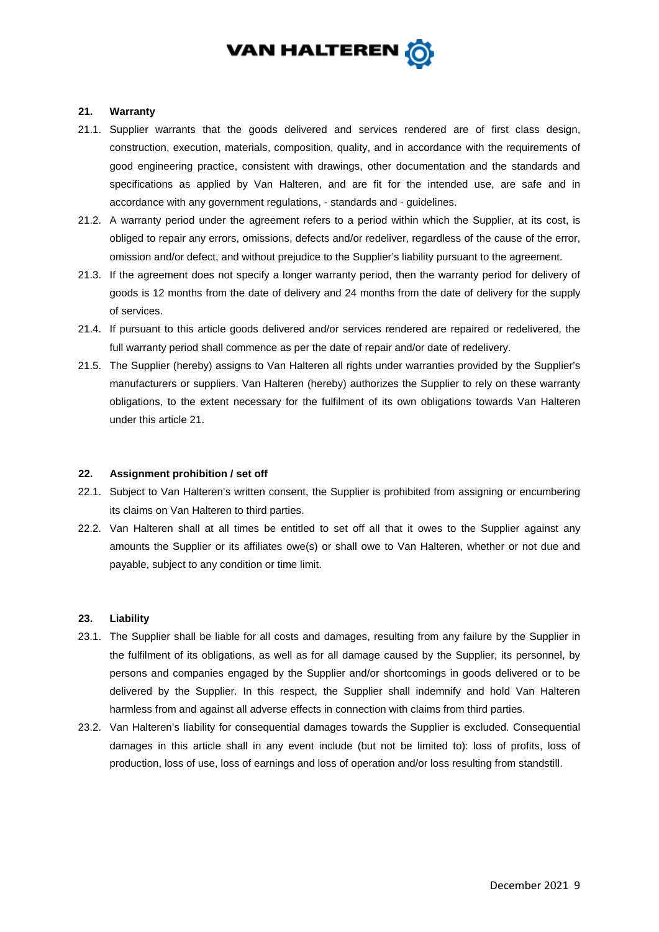

#### <span id="page-8-0"></span>**21. Warranty**

- 21.1. Supplier warrants that the goods delivered and services rendered are of first class design, construction, execution, materials, composition, quality, and in accordance with the requirements of good engineering practice, consistent with drawings, other documentation and the standards and specifications as applied by Van Halteren, and are fit for the intended use, are safe and in accordance with any government regulations, - standards and - guidelines.
- 21.2. A warranty period under the agreement refers to a period within which the Supplier, at its cost, is obliged to repair any errors, omissions, defects and/or redeliver, regardless of the cause of the error, omission and/or defect, and without prejudice to the Supplier's liability pursuant to the agreement.
- 21.3. If the agreement does not specify a longer warranty period, then the warranty period for delivery of goods is 12 months from the date of delivery and 24 months from the date of delivery for the supply of services.
- 21.4. If pursuant to this article goods delivered and/or services rendered are repaired or redelivered, the full warranty period shall commence as per the date of repair and/or date of redelivery.
- 21.5. The Supplier (hereby) assigns to Van Halteren all rights under warranties provided by the Supplier's manufacturers or suppliers. Van Halteren (hereby) authorizes the Supplier to rely on these warranty obligations, to the extent necessary for the fulfilment of its own obligations towards Van Halteren under this article [21.](#page-8-0)

### **22. Assignment prohibition / set off**

- 22.1. Subject to Van Halteren's written consent, the Supplier is prohibited from assigning or encumbering its claims on Van Halteren to third parties.
- 22.2. Van Halteren shall at all times be entitled to set off all that it owes to the Supplier against any amounts the Supplier or its affiliates owe(s) or shall owe to Van Halteren, whether or not due and payable, subject to any condition or time limit.

### **23. Liability**

- 23.1. The Supplier shall be liable for all costs and damages, resulting from any failure by the Supplier in the fulfilment of its obligations, as well as for all damage caused by the Supplier, its personnel, by persons and companies engaged by the Supplier and/or shortcomings in goods delivered or to be delivered by the Supplier. In this respect, the Supplier shall indemnify and hold Van Halteren harmless from and against all adverse effects in connection with claims from third parties.
- 23.2. Van Halteren's liability for consequential damages towards the Supplier is excluded. Consequential damages in this article shall in any event include (but not be limited to): loss of profits, loss of production, loss of use, loss of earnings and loss of operation and/or loss resulting from standstill.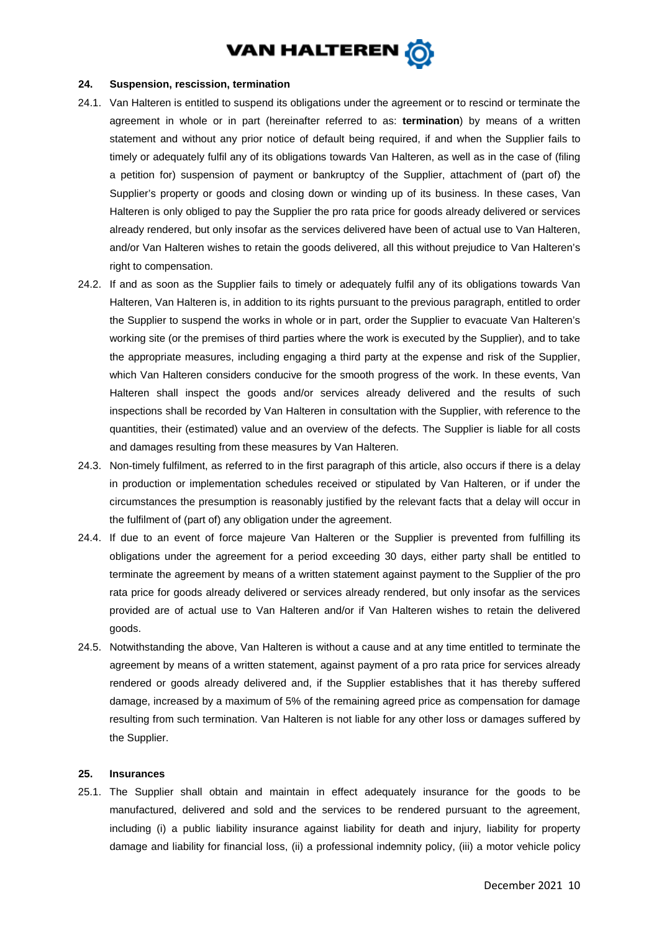

#### **24. Suspension, rescission, termination**

- 24.1. Van Halteren is entitled to suspend its obligations under the agreement or to rescind or terminate the agreement in whole or in part (hereinafter referred to as: **termination**) by means of a written statement and without any prior notice of default being required, if and when the Supplier fails to timely or adequately fulfil any of its obligations towards Van Halteren, as well as in the case of (filing a petition for) suspension of payment or bankruptcy of the Supplier, attachment of (part of) the Supplier's property or goods and closing down or winding up of its business. In these cases, Van Halteren is only obliged to pay the Supplier the pro rata price for goods already delivered or services already rendered, but only insofar as the services delivered have been of actual use to Van Halteren, and/or Van Halteren wishes to retain the goods delivered, all this without prejudice to Van Halteren's right to compensation.
- 24.2. If and as soon as the Supplier fails to timely or adequately fulfil any of its obligations towards Van Halteren, Van Halteren is, in addition to its rights pursuant to the previous paragraph, entitled to order the Supplier to suspend the works in whole or in part, order the Supplier to evacuate Van Halteren's working site (or the premises of third parties where the work is executed by the Supplier), and to take the appropriate measures, including engaging a third party at the expense and risk of the Supplier, which Van Halteren considers conducive for the smooth progress of the work. In these events, Van Halteren shall inspect the goods and/or services already delivered and the results of such inspections shall be recorded by Van Halteren in consultation with the Supplier, with reference to the quantities, their (estimated) value and an overview of the defects. The Supplier is liable for all costs and damages resulting from these measures by Van Halteren.
- 24.3. Non-timely fulfilment, as referred to in the first paragraph of this article, also occurs if there is a delay in production or implementation schedules received or stipulated by Van Halteren, or if under the circumstances the presumption is reasonably justified by the relevant facts that a delay will occur in the fulfilment of (part of) any obligation under the agreement.
- 24.4. If due to an event of force majeure Van Halteren or the Supplier is prevented from fulfilling its obligations under the agreement for a period exceeding 30 days, either party shall be entitled to terminate the agreement by means of a written statement against payment to the Supplier of the pro rata price for goods already delivered or services already rendered, but only insofar as the services provided are of actual use to Van Halteren and/or if Van Halteren wishes to retain the delivered goods.
- 24.5. Notwithstanding the above, Van Halteren is without a cause and at any time entitled to terminate the agreement by means of a written statement, against payment of a pro rata price for services already rendered or goods already delivered and, if the Supplier establishes that it has thereby suffered damage, increased by a maximum of 5% of the remaining agreed price as compensation for damage resulting from such termination. Van Halteren is not liable for any other loss or damages suffered by the Supplier.

#### **25. Insurances**

25.1. The Supplier shall obtain and maintain in effect adequately insurance for the goods to be manufactured, delivered and sold and the services to be rendered pursuant to the agreement, including (i) a public liability insurance against liability for death and injury, liability for property damage and liability for financial loss, (ii) a professional indemnity policy, (iii) a motor vehicle policy